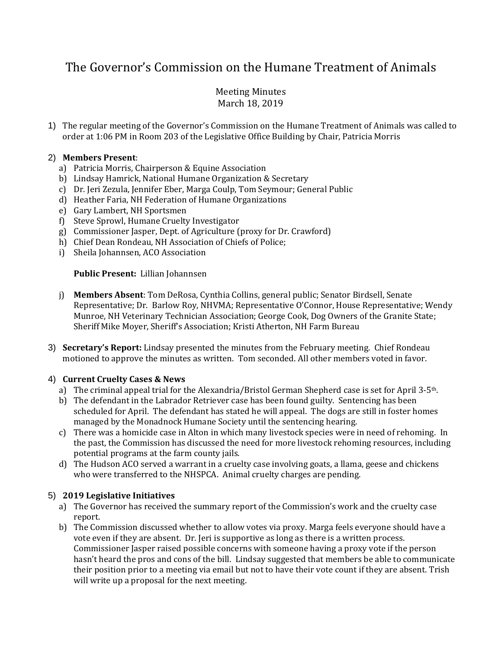# The Governor's Commission on the Humane Treatment of Animals

# Meeting Minutes March 18, 2019

1) The regular meeting of the Governor's Commission on the Humane Treatment of Animals was called to order at 1:06 PM in Room 203 of the Legislative Office Building by Chair, Patricia Morris

# 2) **Members Present**:

- a) Patricia Morris, Chairperson & Equine Association
- b) Lindsay Hamrick, National Humane Organization & Secretary
- c) Dr. Jeri Zezula, Jennifer Eber, Marga Coulp, Tom Seymour; General Public
- d) Heather Faria, NH Federation of Humane Organizations
- e) Gary Lambert, NH Sportsmen
- f) Steve Sprowl, Humane Cruelty Investigator
- g) Commissioner Jasper, Dept. of Agriculture (proxy for Dr. Crawford)
- h) Chief Dean Rondeau, NH Association of Chiefs of Police;
- i) Sheila Johannsen, ACO Association

# **Public Present:** Lillian Johannsen

- j) **Members Absent**: Tom DeRosa, Cynthia Collins, general public; Senator Birdsell, Senate Representative; Dr. Barlow Roy, NHVMA; Representative O'Connor, House Representative; Wendy Munroe, NH Veterinary Technician Association; George Cook, Dog Owners of the Granite State; Sheriff Mike Moyer, Sheriff's Association; Kristi Atherton, NH Farm Bureau
- 3) **Secretary's Report:** Lindsay presented the minutes from the February meeting. Chief Rondeau motioned to approve the minutes as written. Tom seconded. All other members voted in favor.

# 4) **Current Cruelty Cases & News**

- a) The criminal appeal trial for the Alexandria/Bristol German Shepherd case is set for April 3-5th.
- b) The defendant in the Labrador Retriever case has been found guilty. Sentencing has been scheduled for April. The defendant has stated he will appeal. The dogs are still in foster homes managed by the Monadnock Humane Society until the sentencing hearing.
- c) There was a homicide case in Alton in which many livestock species were in need of rehoming. In the past, the Commission has discussed the need for more livestock rehoming resources, including potential programs at the farm county jails.
- d) The Hudson ACO served a warrant in a cruelty case involving goats, a llama, geese and chickens who were transferred to the NHSPCA. Animal cruelty charges are pending.

# 5) **2019 Legislative Initiatives**

- a) The Governor has received the summary report of the Commission's work and the cruelty case report.
- b) The Commission discussed whether to allow votes via proxy. Marga feels everyone should have a vote even if they are absent. Dr. Jeri is supportive as long as there is a written process. Commissioner Jasper raised possible concerns with someone having a proxy vote if the person hasn't heard the pros and cons of the bill. Lindsay suggested that members be able to communicate their position prior to a meeting via email but not to have their vote count if they are absent. Trish will write up a proposal for the next meeting.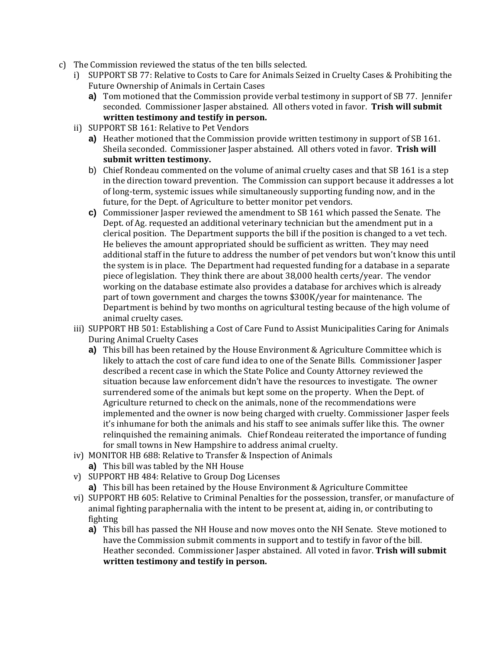- c) The Commission reviewed the status of the ten bills selected.
	- i) SUPPORT SB 77: Relative to Costs to Care for Animals Seized in Cruelty Cases & Prohibiting the Future Ownership of Animals in Certain Cases
		- **a)** Tom motioned that the Commission provide verbal testimony in support of SB 77. Jennifer seconded. Commissioner Jasper abstained. All others voted in favor. **Trish will submit written testimony and testify in person.**
	- ii) SUPPORT SB 161: Relative to Pet Vendors
		- **a)** Heather motioned that the Commission provide written testimony in support of SB 161. Sheila seconded. Commissioner Jasper abstained. All others voted in favor. **Trish will submit written testimony.**
		- b) Chief Rondeau commented on the volume of animal cruelty cases and that SB 161 is a step in the direction toward prevention. The Commission can support because it addresses a lot of long-term, systemic issues while simultaneously supporting funding now, and in the future, for the Dept. of Agriculture to better monitor pet vendors.
		- **c)** Commissioner Jasper reviewed the amendment to SB 161 which passed the Senate. The Dept. of Ag. requested an additional veterinary technician but the amendment put in a clerical position. The Department supports the bill if the position is changed to a vet tech. He believes the amount appropriated should be sufficient as written. They may need additional staff in the future to address the number of pet vendors but won't know this until the system is in place. The Department had requested funding for a database in a separate piece of legislation. They think there are about 38,000 health certs/year. The vendor working on the database estimate also provides a database for archives which is already part of town government and charges the towns \$300K/year for maintenance. The Department is behind by two months on agricultural testing because of the high volume of animal cruelty cases.
	- iii) SUPPORT HB 501: Establishing a Cost of Care Fund to Assist Municipalities Caring for Animals During Animal Cruelty Cases
		- **a)** This bill has been retained by the House Environment & Agriculture Committee which is likely to attach the cost of care fund idea to one of the Senate Bills. Commissioner Jasper described a recent case in which the State Police and County Attorney reviewed the situation because law enforcement didn't have the resources to investigate. The owner surrendered some of the animals but kept some on the property. When the Dept. of Agriculture returned to check on the animals, none of the recommendations were implemented and the owner is now being charged with cruelty. Commissioner Jasper feels it's inhumane for both the animals and his staff to see animals suffer like this. The owner relinquished the remaining animals. Chief Rondeau reiterated the importance of funding for small towns in New Hampshire to address animal cruelty.
	- iv) MONITOR HB 688: Relative to Transfer & Inspection of Animals
		- **a)** This bill was tabled by the NH House
	- v) SUPPORT HB 484: Relative to Group Dog Licenses
		- **a)** This bill has been retained by the House Environment & Agriculture Committee
	- vi) SUPPORT HB 605: Relative to Criminal Penalties for the possession, transfer, or manufacture of animal fighting paraphernalia with the intent to be present at, aiding in, or contributing to fighting
		- **a)** This bill has passed the NH House and now moves onto the NH Senate. Steve motioned to have the Commission submit comments in support and to testify in favor of the bill. Heather seconded. Commissioner Jasper abstained. All voted in favor. **Trish will submit written testimony and testify in person.**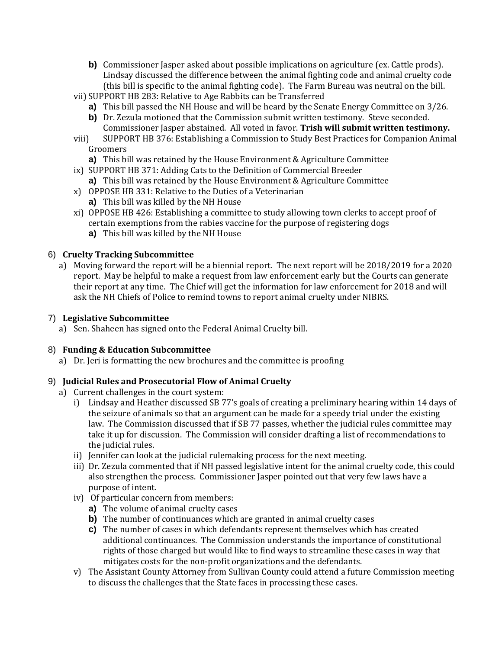- **b**) Commissioner Jasper asked about possible implications on agriculture (ex. Cattle prods). Lindsay discussed the difference between the animal fighting code and animal cruelty code (this bill is specific to the animal fighting code). The Farm Bureau was neutral on the bill.
- vii) SUPPORT HB 283: Relative to Age Rabbits can be Transferred
	- **a)** This bill passed the NH House and will be heard by the Senate Energy Committee on 3/26.
	- **b)** Dr. Zezula motioned that the Commission submit written testimony. Steve seconded. Commissioner Jasper abstained. All voted in favor. **Trish will submit written testimony.**
- viii) SUPPORT HB 376: Establishing a Commission to Study Best Practices for Companion Animal Groomers
	- **a)** This bill was retained by the House Environment & Agriculture Committee
- ix) SUPPORT HB 371: Adding Cats to the Definition of Commercial Breeder
	- **a)** This bill was retained by the House Environment & Agriculture Committee
- x) OPPOSE HB 331: Relative to the Duties of a Veterinarian
	- **a)** This bill was killed by the NH House
- xi) OPPOSE HB 426: Establishing a committee to study allowing town clerks to accept proof of certain exemptions from the rabies vaccine for the purpose of registering dogs
	- **a)** This bill was killed by the NH House

# 6) **Cruelty Tracking Subcommittee**

a) Moving forward the report will be a biennial report. The next report will be 2018/2019 for a 2020 report. May be helpful to make a request from law enforcement early but the Courts can generate their report at any time. The Chief will get the information for law enforcement for 2018 and will ask the NH Chiefs of Police to remind towns to report animal cruelty under NIBRS.

#### 7) **Legislative Subcommittee**

a) Sen. Shaheen has signed onto the Federal Animal Cruelty bill.

# 8) **Funding & Education Subcommittee**

a) Dr. Jeri is formatting the new brochures and the committee is proofing

# 9) **Judicial Rules and Prosecutorial Flow of Animal Cruelty**

- a) Current challenges in the court system:
	- i) Lindsay and Heather discussed SB 77's goals of creating a preliminary hearing within 14 days of the seizure of animals so that an argument can be made for a speedy trial under the existing law. The Commission discussed that if SB 77 passes, whether the judicial rules committee may take it up for discussion. The Commission will consider drafting a list of recommendations to the judicial rules.
	- ii) Jennifer can look at the judicial rulemaking process for the next meeting.
	- iii) Dr. Zezula commented that if NH passed legislative intent for the animal cruelty code, this could also strengthen the process. Commissioner Jasper pointed out that very few laws have a purpose of intent.
	- iv) Of particular concern from members:
		- **a)** The volume of animal cruelty cases
		- **b)** The number of continuances which are granted in animal cruelty cases
		- **c)** The number of cases in which defendants represent themselves which has created additional continuances. The Commission understands the importance of constitutional rights of those charged but would like to find ways to streamline these cases in way that mitigates costs for the non-profit organizations and the defendants.
	- v) The Assistant County Attorney from Sullivan County could attend a future Commission meeting to discuss the challenges that the State faces in processing these cases.